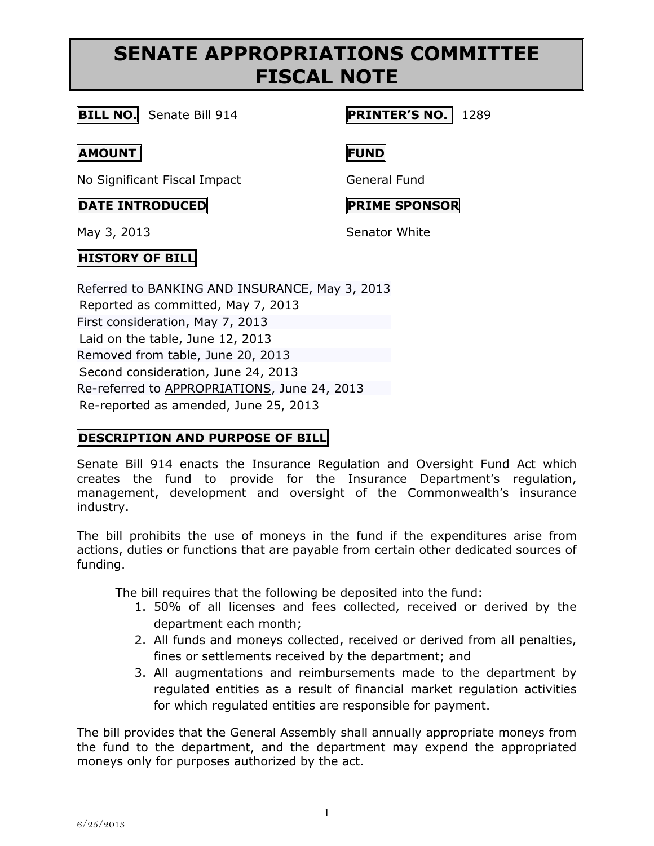# **SENATE APPROPRIATIONS COMMITTEE FISCAL NOTE**

**BILL NO.** Senate Bill 914 **PRINTER'S NO.** 1289

#### **AMOUNT FUND**

No Significant Fiscal Impact General Fund

#### **DATE INTRODUCED PRIME SPONSOR**

## **HISTORY OF BILL**

Referred to [BANKING AND INSURANCE,](http://www.legis.state.pa.us/cfdocs/cteeInfo/Index.cfm?Code=37&CteeBody=S) May 3, 2013 Reported as committed, [May 7, 2013](http://ldpc6.legis.state.pa.us/cfdocs/legis/RCC/PUBLIC/listVotes.cfm?sYear=2013&sInd=0&chamber=S&cteeCde=37&nbr=914&bBody=S&type=B&theDate=05/07/2013) First consideration, May 7, 2013 Laid on the table, June 12, 2013 Removed from table, June 20, 2013 Second consideration, June 24, 2013 Re-referred to [APPROPRIATIONS,](http://www.legis.state.pa.us/cfdocs/cteeInfo/Index.cfm?Code=3&CteeBody=S) June 24, 2013 Re-reported as amended, [June 25, 2013](http://ldpc6.legis.state.pa.us/cfdocs/legis/RCC/PUBLIC/listVotes.cfm?sYear=2013&sInd=0&chamber=S&cteeCde=3&nbr=914&bBody=S&type=B&theDate=06/25/2013)

## **DESCRIPTION AND PURPOSE OF BILL**

Senate Bill 914 enacts the Insurance Regulation and Oversight Fund Act which creates the fund to provide for the Insurance Department's regulation, management, development and oversight of the Commonwealth's insurance industry.

The bill prohibits the use of moneys in the fund if the expenditures arise from actions, duties or functions that are payable from certain other dedicated sources of funding.

The bill requires that the following be deposited into the fund:

- 1. 50% of all licenses and fees collected, received or derived by the department each month;
- 2. All funds and moneys collected, received or derived from all penalties, fines or settlements received by the department; and
- 3. All augmentations and reimbursements made to the department by regulated entities as a result of financial market regulation activities for which regulated entities are responsible for payment.

The bill provides that the General Assembly shall annually appropriate moneys from the fund to the department, and the department may expend the appropriated moneys only for purposes authorized by the act.

May 3, 2013 Senator White